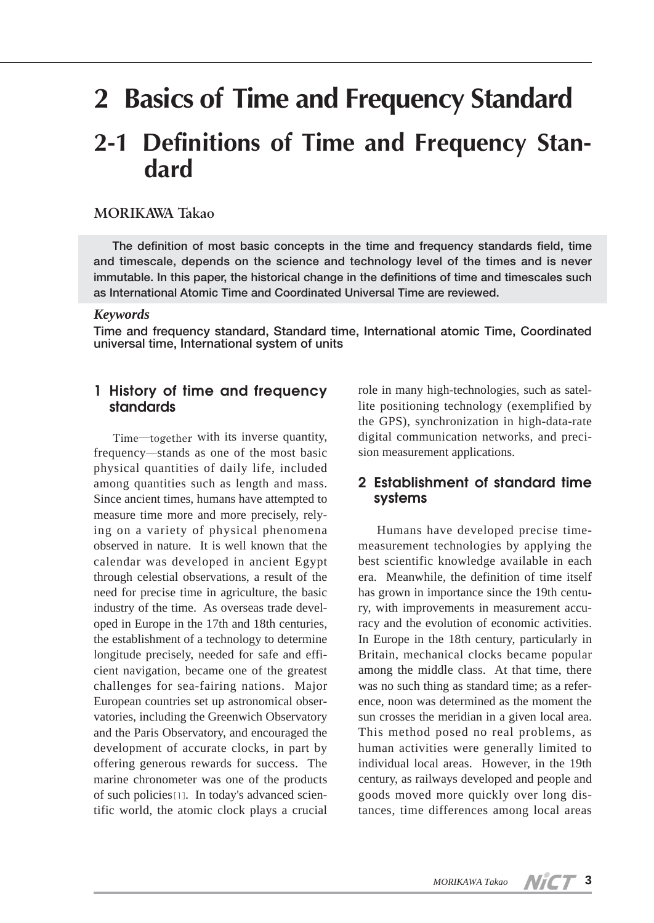# **2 Basics of Time and Frequency Standard**

## **2-1 Definitions of Time and Frequency Standard**

#### **MORIKAWA Takao**

**The definition of most basic concepts in the time and frequency standards field, time and timescale, depends on the science and technology level of the times and is never immutable. In this paper, the historical change in the definitions of time and timescales such as International Atomic Time and Coordinated Universal Time are reviewed.**

#### *Keywords*

**Time and frequency standard, Standard time, International atomic Time, Coordinated universal time, International system of units**

#### **1 History of time and frequency standards**

Time―together with its inverse quantity, frequency―stands as one of the most basic physical quantities of daily life, included among quantities such as length and mass. Since ancient times, humans have attempted to measure time more and more precisely, relying on a variety of physical phenomena observed in nature. It is well known that the calendar was developed in ancient Egypt through celestial observations, a result of the need for precise time in agriculture, the basic industry of the time. As overseas trade developed in Europe in the 17th and 18th centuries, the establishment of a technology to determine longitude precisely, needed for safe and efficient navigation, became one of the greatest challenges for sea-fairing nations. Major European countries set up astronomical observatories, including the Greenwich Observatory and the Paris Observatory, and encouraged the development of accurate clocks, in part by offering generous rewards for success. The marine chronometer was one of the products of such policies[1]. In today's advanced scientific world, the atomic clock plays a crucial

role in many high-technologies, such as satellite positioning technology (exemplified by the GPS), synchronization in high-data-rate digital communication networks, and precision measurement applications.

#### **2 Establishment of standard time systems**

Humans have developed precise timemeasurement technologies by applying the best scientific knowledge available in each era. Meanwhile, the definition of time itself has grown in importance since the 19th century, with improvements in measurement accuracy and the evolution of economic activities. In Europe in the 18th century, particularly in Britain, mechanical clocks became popular among the middle class. At that time, there was no such thing as standard time; as a reference, noon was determined as the moment the sun crosses the meridian in a given local area. This method posed no real problems, as human activities were generally limited to individual local areas. However, in the 19th century, as railways developed and people and goods moved more quickly over long distances, time differences among local areas

**3**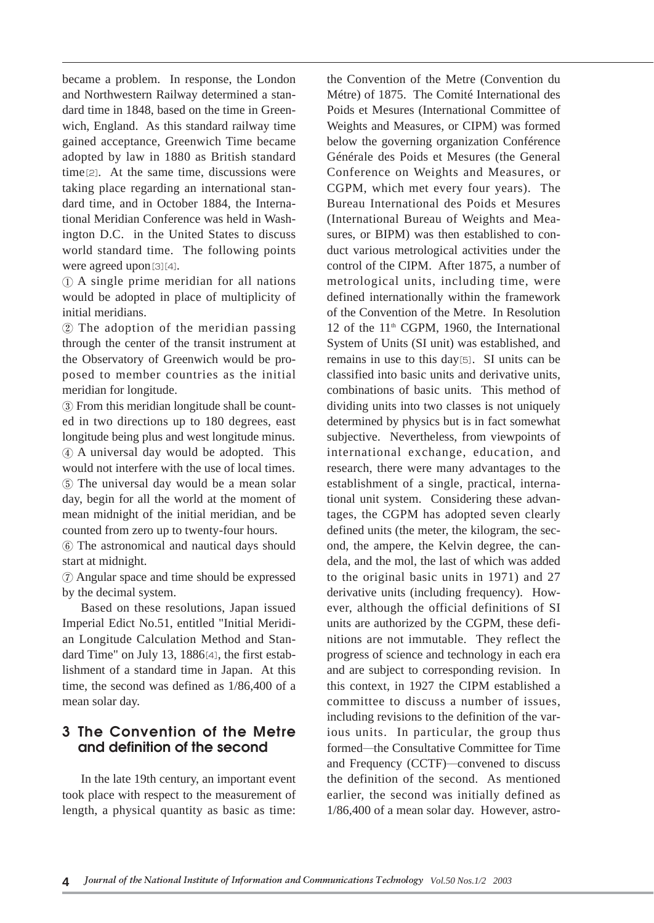became a problem. In response, the London and Northwestern Railway determined a standard time in 1848, based on the time in Greenwich, England. As this standard railway time gained acceptance, Greenwich Time became adopted by law in 1880 as British standard time[2]. At the same time, discussions were taking place regarding an international standard time, and in October 1884, the International Meridian Conference was held in Washington D.C. in the United States to discuss world standard time. The following points were agreed upon[3][4].

① A single prime meridian for all nations would be adopted in place of multiplicity of initial meridians.

② The adoption of the meridian passing through the center of the transit instrument at the Observatory of Greenwich would be proposed to member countries as the initial meridian for longitude.

③ From this meridian longitude shall be counted in two directions up to 180 degrees, east longitude being plus and west longitude minus. ④ A universal day would be adopted. This would not interfere with the use of local times. ⑤ The universal day would be a mean solar day, begin for all the world at the moment of mean midnight of the initial meridian, and be counted from zero up to twenty-four hours.

⑥ The astronomical and nautical days should start at midnight.

⑦ Angular space and time should be expressed by the decimal system.

Based on these resolutions, Japan issued Imperial Edict No.51, entitled "Initial Meridian Longitude Calculation Method and Standard Time" on July 13, 1886[4], the first establishment of a standard time in Japan. At this time, the second was defined as 1/86,400 of a mean solar day.

#### **3 The Convention of the Metre and definition of the second**

In the late 19th century, an important event took place with respect to the measurement of length, a physical quantity as basic as time:

the Convention of the Metre (Convention du Métre) of 1875. The Comité International des Poids et Mesures (International Committee of Weights and Measures, or CIPM) was formed below the governing organization Conférence Générale des Poids et Mesures (the General Conference on Weights and Measures, or CGPM, which met every four years). The Bureau International des Poids et Mesures (International Bureau of Weights and Measures, or BIPM) was then established to conduct various metrological activities under the control of the CIPM. After 1875, a number of metrological units, including time, were defined internationally within the framework of the Convention of the Metre. In Resolution 12 of the  $11<sup>th</sup>$  CGPM, 1960, the International System of Units (SI unit) was established, and remains in use to this day[5]. SI units can be classified into basic units and derivative units, combinations of basic units. This method of dividing units into two classes is not uniquely determined by physics but is in fact somewhat subjective. Nevertheless, from viewpoints of international exchange, education, and research, there were many advantages to the establishment of a single, practical, international unit system. Considering these advantages, the CGPM has adopted seven clearly defined units (the meter, the kilogram, the second, the ampere, the Kelvin degree, the candela, and the mol, the last of which was added to the original basic units in 1971) and 27 derivative units (including frequency). However, although the official definitions of SI units are authorized by the CGPM, these definitions are not immutable. They reflect the progress of science and technology in each era and are subject to corresponding revision. In this context, in 1927 the CIPM established a committee to discuss a number of issues, including revisions to the definition of the various units. In particular, the group thus formed―the Consultative Committee for Time and Frequency (CCTF)―convened to discuss the definition of the second. As mentioned earlier, the second was initially defined as 1/86,400 of a mean solar day. However, astro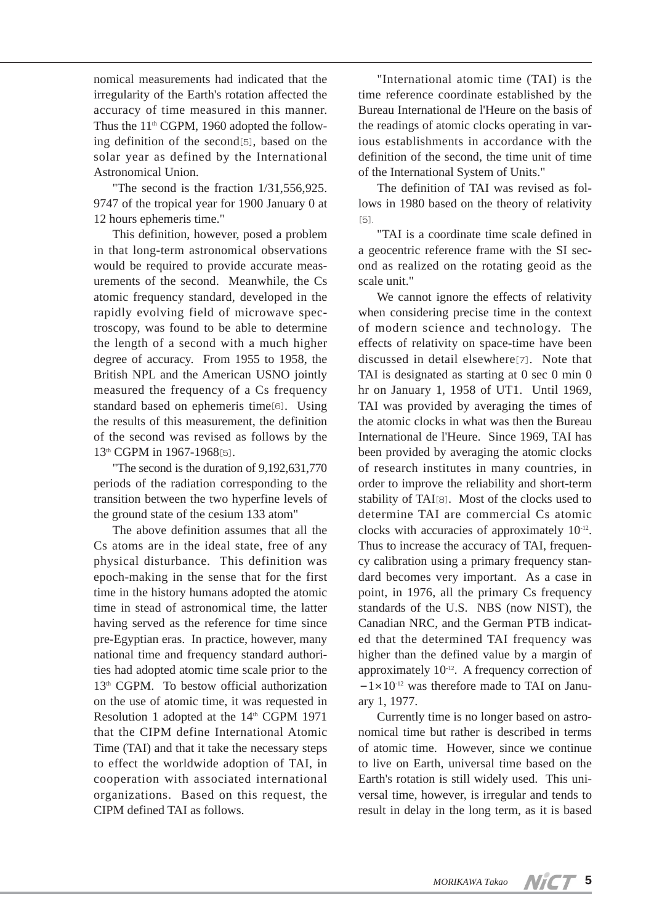nomical measurements had indicated that the irregularity of the Earth's rotation affected the accuracy of time measured in this manner. Thus the  $11<sup>th</sup>$  CGPM, 1960 adopted the following definition of the second[5], based on the solar year as defined by the International Astronomical Union.

"The second is the fraction 1/31,556,925. 9747 of the tropical year for 1900 January 0 at 12 hours ephemeris time."

This definition, however, posed a problem in that long-term astronomical observations would be required to provide accurate measurements of the second. Meanwhile, the Cs atomic frequency standard, developed in the rapidly evolving field of microwave spectroscopy, was found to be able to determine the length of a second with a much higher degree of accuracy. From 1955 to 1958, the British NPL and the American USNO jointly measured the frequency of a Cs frequency standard based on ephemeris time[6]. Using the results of this measurement, the definition of the second was revised as follows by the 13<sup>th</sup> CGPM in 1967-1968[5].

"The second is the duration of 9,192,631,770 periods of the radiation corresponding to the transition between the two hyperfine levels of the ground state of the cesium 133 atom"

The above definition assumes that all the Cs atoms are in the ideal state, free of any physical disturbance. This definition was epoch-making in the sense that for the first time in the history humans adopted the atomic time in stead of astronomical time, the latter having served as the reference for time since pre-Egyptian eras. In practice, however, many national time and frequency standard authorities had adopted atomic time scale prior to the 13<sup>th</sup> CGPM. To bestow official authorization on the use of atomic time, it was requested in Resolution 1 adopted at the 14<sup>th</sup> CGPM 1971 that the CIPM define International Atomic Time (TAI) and that it take the necessary steps to effect the worldwide adoption of TAI, in cooperation with associated international organizations. Based on this request, the CIPM defined TAI as follows.

"International atomic time (TAI) is the time reference coordinate established by the Bureau International de l'Heure on the basis of the readings of atomic clocks operating in various establishments in accordance with the definition of the second, the time unit of time of the International System of Units."

The definition of TAI was revised as follows in 1980 based on the theory of relativity [5].

"TAI is a coordinate time scale defined in a geocentric reference frame with the SI second as realized on the rotating geoid as the scale unit."

We cannot ignore the effects of relativity when considering precise time in the context of modern science and technology. The effects of relativity on space-time have been discussed in detail elsewhere[7]. Note that TAI is designated as starting at 0 sec 0 min 0 hr on January 1, 1958 of UT1. Until 1969, TAI was provided by averaging the times of the atomic clocks in what was then the Bureau International de l'Heure. Since 1969, TAI has been provided by averaging the atomic clocks of research institutes in many countries, in order to improve the reliability and short-term stability of TAI[8]. Most of the clocks used to determine TAI are commercial Cs atomic clocks with accuracies of approximately 10-12. Thus to increase the accuracy of TAI, frequency calibration using a primary frequency standard becomes very important. As a case in point, in 1976, all the primary Cs frequency standards of the U.S. NBS (now NIST), the Canadian NRC, and the German PTB indicated that the determined TAI frequency was higher than the defined value by a margin of approximately  $10^{-12}$ . A frequency correction of  $-1\times10^{-12}$  was therefore made to TAI on January 1, 1977.

Currently time is no longer based on astronomical time but rather is described in terms of atomic time. However, since we continue to live on Earth, universal time based on the Earth's rotation is still widely used. This universal time, however, is irregular and tends to result in delay in the long term, as it is based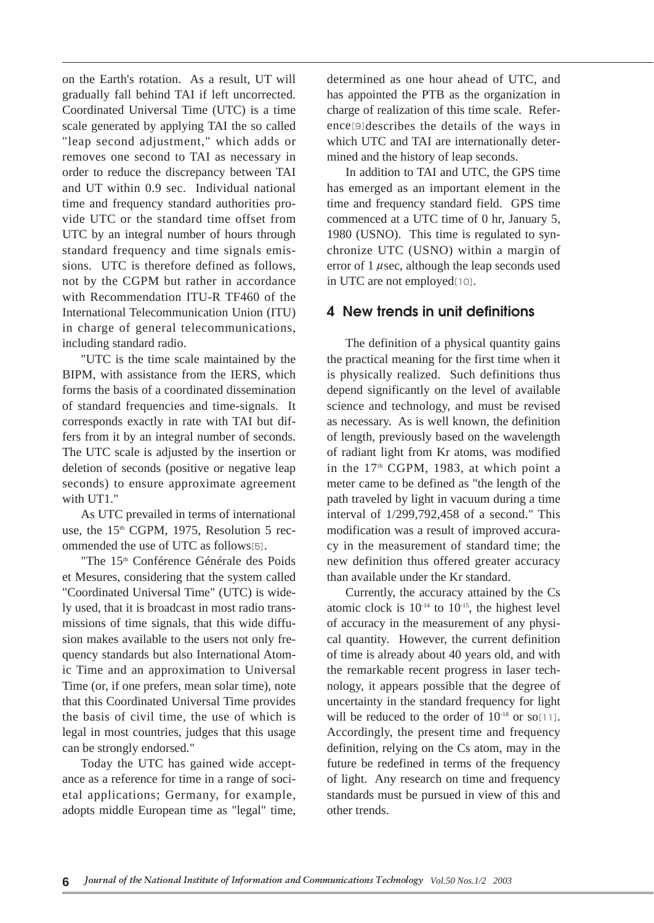on the Earth's rotation. As a result, UT will gradually fall behind TAI if left uncorrected. Coordinated Universal Time (UTC) is a time scale generated by applying TAI the so called "leap second adjustment," which adds or removes one second to TAI as necessary in order to reduce the discrepancy between TAI and UT within 0.9 sec. Individual national time and frequency standard authorities provide UTC or the standard time offset from UTC by an integral number of hours through standard frequency and time signals emissions. UTC is therefore defined as follows, not by the CGPM but rather in accordance with Recommendation ITU-R TF460 of the International Telecommunication Union (ITU) in charge of general telecommunications, including standard radio.

"UTC is the time scale maintained by the BIPM, with assistance from the IERS, which forms the basis of a coordinated dissemination of standard frequencies and time-signals. It corresponds exactly in rate with TAI but differs from it by an integral number of seconds. The UTC scale is adjusted by the insertion or deletion of seconds (positive or negative leap seconds) to ensure approximate agreement with UT1."

As UTC prevailed in terms of international use, the  $15<sup>th</sup>$  CGPM, 1975, Resolution 5 recommended the use of UTC as follows[5].

"The 15<sup>th</sup> Conférence Générale des Poids et Mesures, considering that the system called "Coordinated Universal Time" (UTC) is widely used, that it is broadcast in most radio transmissions of time signals, that this wide diffusion makes available to the users not only frequency standards but also International Atomic Time and an approximation to Universal Time (or, if one prefers, mean solar time), note that this Coordinated Universal Time provides the basis of civil time, the use of which is legal in most countries, judges that this usage can be strongly endorsed."

Today the UTC has gained wide acceptance as a reference for time in a range of societal applications; Germany, for example, adopts middle European time as "legal" time, determined as one hour ahead of UTC, and has appointed the PTB as the organization in charge of realization of this time scale. Reference[9]describes the details of the ways in which UTC and TAI are internationally determined and the history of leap seconds.

In addition to TAI and UTC, the GPS time has emerged as an important element in the time and frequency standard field. GPS time commenced at a UTC time of 0 hr, January 5, 1980 (USNO). This time is regulated to synchronize UTC (USNO) within a margin of error of  $1 \mu$ sec, although the leap seconds used in UTC are not employed[10].

#### **4 New trends in unit definitions**

The definition of a physical quantity gains the practical meaning for the first time when it is physically realized. Such definitions thus depend significantly on the level of available science and technology, and must be revised as necessary. As is well known, the definition of length, previously based on the wavelength of radiant light from Kr atoms, was modified in the  $17<sup>th</sup>$  CGPM, 1983, at which point a meter came to be defined as "the length of the path traveled by light in vacuum during a time interval of 1/299,792,458 of a second." This modification was a result of improved accuracy in the measurement of standard time; the new definition thus offered greater accuracy than available under the Kr standard.

Currently, the accuracy attained by the Cs atomic clock is  $10^{-14}$  to  $10^{-15}$ , the highest level of accuracy in the measurement of any physical quantity. However, the current definition of time is already about 40 years old, and with the remarkable recent progress in laser technology, it appears possible that the degree of uncertainty in the standard frequency for light will be reduced to the order of  $10^{-18}$  or so $[11]$ . Accordingly, the present time and frequency definition, relying on the Cs atom, may in the future be redefined in terms of the frequency of light. Any research on time and frequency standards must be pursued in view of this and other trends.